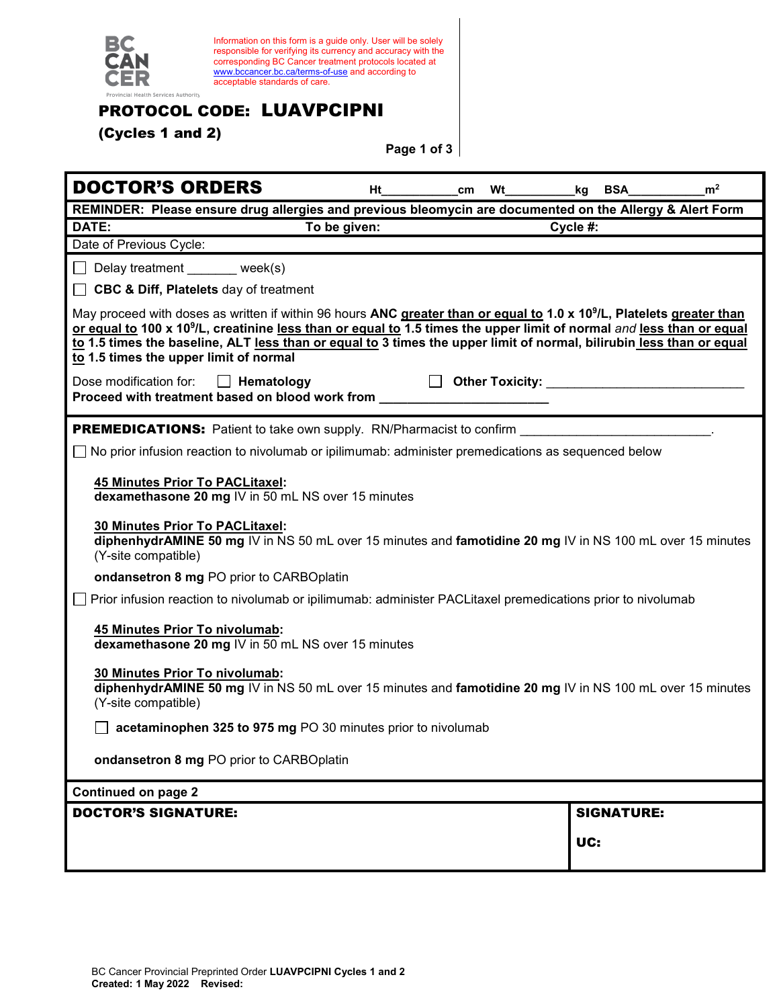

Information on this form is a guide only. User will be solely responsible for verifying its currency and accuracy with the corresponding BC Cancer treatment protocols located at [www.bccancer.bc.ca/terms-of-use](http://www.bccancer.bc.ca/terms-of-use) and according to acceptable standards of care.

## PROTOCOL CODE: LUAVPCIPNI

(Cycles 1 and 2)

**Page 1 of 3**

| <b>DOCTOR'S ORDERS</b>                                                                                                                                                                                                                                                                                                                                                                                                                    | Ht | cm | <b>Wt</b> | BSA<br>kq                                                                                                                                                                                                                      | m <sup>2</sup> |
|-------------------------------------------------------------------------------------------------------------------------------------------------------------------------------------------------------------------------------------------------------------------------------------------------------------------------------------------------------------------------------------------------------------------------------------------|----|----|-----------|--------------------------------------------------------------------------------------------------------------------------------------------------------------------------------------------------------------------------------|----------------|
| REMINDER: Please ensure drug allergies and previous bleomycin are documented on the Allergy & Alert Form                                                                                                                                                                                                                                                                                                                                  |    |    |           |                                                                                                                                                                                                                                |                |
| DATE:<br>To be given:                                                                                                                                                                                                                                                                                                                                                                                                                     |    |    |           | Cycle #:                                                                                                                                                                                                                       |                |
| Date of Previous Cycle:                                                                                                                                                                                                                                                                                                                                                                                                                   |    |    |           |                                                                                                                                                                                                                                |                |
| $\Box$ Delay treatment week(s)                                                                                                                                                                                                                                                                                                                                                                                                            |    |    |           |                                                                                                                                                                                                                                |                |
| <b>CBC &amp; Diff, Platelets</b> day of treatment                                                                                                                                                                                                                                                                                                                                                                                         |    |    |           |                                                                                                                                                                                                                                |                |
| May proceed with doses as written if within 96 hours ANC greater than or equal to 1.0 x 10 <sup>9</sup> /L, Platelets greater than<br>or equal to 100 x 10 <sup>9</sup> /L, creatinine less than or equal to 1.5 times the upper limit of normal and less than or equal<br>to 1.5 times the baseline, ALT less than or equal to 3 times the upper limit of normal, bilirubin less than or equal<br>to 1.5 times the upper limit of normal |    |    |           |                                                                                                                                                                                                                                |                |
| Dose modification for:<br><b>Hematology</b>                                                                                                                                                                                                                                                                                                                                                                                               |    |    |           | District Districtly: Communication of the Contract of the Contract of the Contract of the Contract of the Contract of the Contract of the Contract of the Contract of the Contract of the Contract of the Contract of the Cont |                |
| Proceed with treatment based on blood work from <b>From</b>                                                                                                                                                                                                                                                                                                                                                                               |    |    |           |                                                                                                                                                                                                                                |                |
|                                                                                                                                                                                                                                                                                                                                                                                                                                           |    |    |           |                                                                                                                                                                                                                                |                |
| <b>PREMEDICATIONS:</b> Patient to take own supply. RN/Pharmacist to confirm                                                                                                                                                                                                                                                                                                                                                               |    |    |           |                                                                                                                                                                                                                                |                |
| No prior infusion reaction to nivolumab or ipilimumab: administer premedications as sequenced below                                                                                                                                                                                                                                                                                                                                       |    |    |           |                                                                                                                                                                                                                                |                |
| <b>45 Minutes Prior To PACLitaxel:</b><br>dexamethasone 20 mg IV in 50 mL NS over 15 minutes                                                                                                                                                                                                                                                                                                                                              |    |    |           |                                                                                                                                                                                                                                |                |
| 30 Minutes Prior To PACLitaxel:<br>diphenhydrAMINE 50 mg IV in NS 50 mL over 15 minutes and famotidine 20 mg IV in NS 100 mL over 15 minutes<br>(Y-site compatible)                                                                                                                                                                                                                                                                       |    |    |           |                                                                                                                                                                                                                                |                |
| ondansetron 8 mg PO prior to CARBOplatin                                                                                                                                                                                                                                                                                                                                                                                                  |    |    |           |                                                                                                                                                                                                                                |                |
| Prior infusion reaction to nivolumab or ipilimumab: administer PACLitaxel premedications prior to nivolumab                                                                                                                                                                                                                                                                                                                               |    |    |           |                                                                                                                                                                                                                                |                |
| 45 Minutes Prior To nivolumab:<br>dexamethasone 20 mg IV in 50 mL NS over 15 minutes                                                                                                                                                                                                                                                                                                                                                      |    |    |           |                                                                                                                                                                                                                                |                |
| 30 Minutes Prior To nivolumab:<br>diphenhydrAMINE 50 mg IV in NS 50 mL over 15 minutes and famotidine 20 mg IV in NS 100 mL over 15 minutes<br>(Y-site compatible)                                                                                                                                                                                                                                                                        |    |    |           |                                                                                                                                                                                                                                |                |
| acetaminophen 325 to 975 mg PO 30 minutes prior to nivolumab                                                                                                                                                                                                                                                                                                                                                                              |    |    |           |                                                                                                                                                                                                                                |                |
| ondansetron 8 mg PO prior to CARBOplatin                                                                                                                                                                                                                                                                                                                                                                                                  |    |    |           |                                                                                                                                                                                                                                |                |
| <b>Continued on page 2</b>                                                                                                                                                                                                                                                                                                                                                                                                                |    |    |           |                                                                                                                                                                                                                                |                |
| <b>DOCTOR'S SIGNATURE:</b>                                                                                                                                                                                                                                                                                                                                                                                                                |    |    |           | <b>SIGNATURE:</b>                                                                                                                                                                                                              |                |
|                                                                                                                                                                                                                                                                                                                                                                                                                                           |    |    |           | UC:                                                                                                                                                                                                                            |                |
|                                                                                                                                                                                                                                                                                                                                                                                                                                           |    |    |           |                                                                                                                                                                                                                                |                |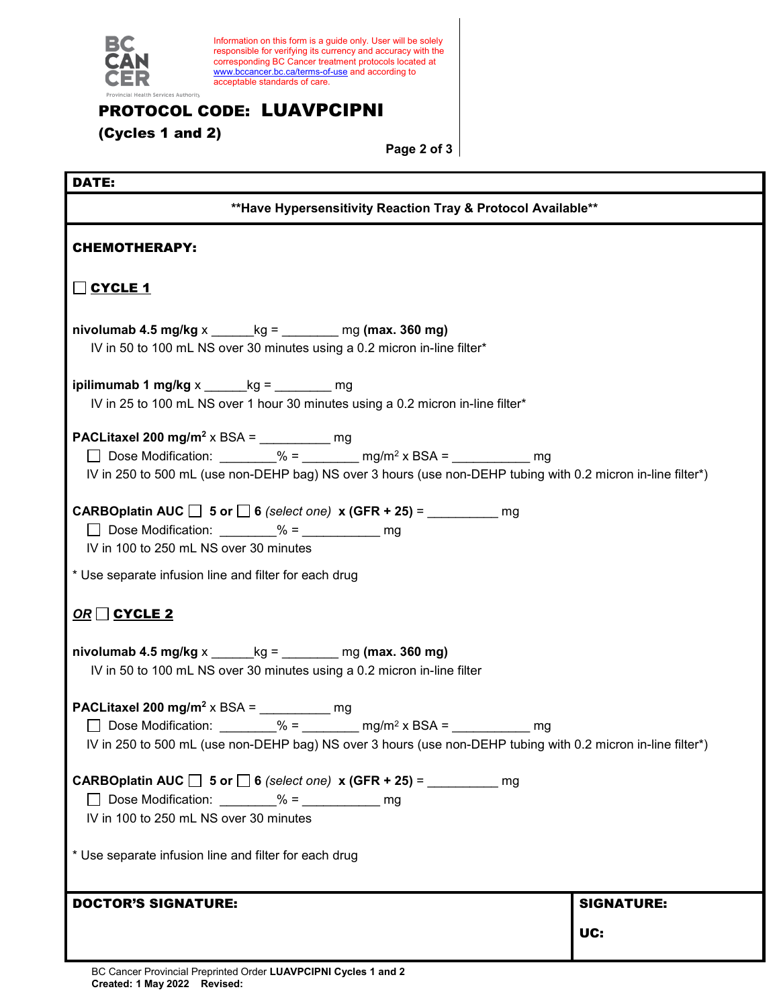

Information on this form is a guide only. User will be solely responsible for verifying its currency and accuracy with the corresponding BC Cancer treatment protocols located at [www.bccancer.bc.ca/terms-of-use](http://www.bccancer.bc.ca/terms-of-use) and according to acceptable standards of care.

## PROTOCOL CODE: LUAVPCIPNI

(Cycles 1 and 2)

**Page 2 of 3**

T,

## DATE:

| DA I Ei                                                                                                                                                                                                                                                         |                   |  |  |  |
|-----------------------------------------------------------------------------------------------------------------------------------------------------------------------------------------------------------------------------------------------------------------|-------------------|--|--|--|
| ** Have Hypersensitivity Reaction Tray & Protocol Available**                                                                                                                                                                                                   |                   |  |  |  |
| <b>CHEMOTHERAPY:</b>                                                                                                                                                                                                                                            |                   |  |  |  |
| O CYCLE 1                                                                                                                                                                                                                                                       |                   |  |  |  |
| nivolumab 4.5 mg/kg $x$ ______ kg = ________ mg (max. 360 mg)<br>IV in 50 to 100 mL NS over 30 minutes using a 0.2 micron in-line filter*                                                                                                                       |                   |  |  |  |
| ipilimumab 1 mg/kg $x$ _______ kg = _________ mg<br>IV in 25 to 100 mL NS over 1 hour 30 minutes using a 0.2 micron in-line filter*                                                                                                                             |                   |  |  |  |
| PACLitaxel 200 mg/m <sup>2</sup> x BSA = $\frac{1}{2}$ mg<br>□ Dose Modification: ________% = _______ mg/m <sup>2</sup> x BSA = _________ mg<br>IV in 250 to 500 mL (use non-DEHP bag) NS over 3 hours (use non-DEHP tubing with 0.2 micron in-line filter*)    |                   |  |  |  |
| <b>CARBOplatin AUC</b> $\Box$ 5 or $\Box$ 6 (select one) x (GFR + 25) = ___________<br>mg<br>IV in 100 to 250 mL NS over 30 minutes                                                                                                                             |                   |  |  |  |
| * Use separate infusion line and filter for each drug                                                                                                                                                                                                           |                   |  |  |  |
| $OR \square$ CYCLE 2                                                                                                                                                                                                                                            |                   |  |  |  |
| nivolumab 4.5 mg/kg $x$ ______ kg = ________ mg (max. 360 mg)<br>IV in 50 to 100 mL NS over 30 minutes using a 0.2 micron in-line filter                                                                                                                        |                   |  |  |  |
| PACLitaxel 200 mg/m <sup>2</sup> x BSA = $\frac{m}{2}$ mg<br>□ Dose Modification: ________% = _______ mg/m <sup>2</sup> x BSA = _________<br>mq<br>IV in 250 to 500 mL (use non-DEHP bag) NS over 3 hours (use non-DEHP tubing with 0.2 micron in-line filter*) |                   |  |  |  |
| IV in 100 to 250 mL NS over 30 minutes                                                                                                                                                                                                                          |                   |  |  |  |
| * Use separate infusion line and filter for each drug                                                                                                                                                                                                           |                   |  |  |  |
| <b>DOCTOR'S SIGNATURE:</b>                                                                                                                                                                                                                                      | <b>SIGNATURE:</b> |  |  |  |
|                                                                                                                                                                                                                                                                 | UC:               |  |  |  |
|                                                                                                                                                                                                                                                                 |                   |  |  |  |